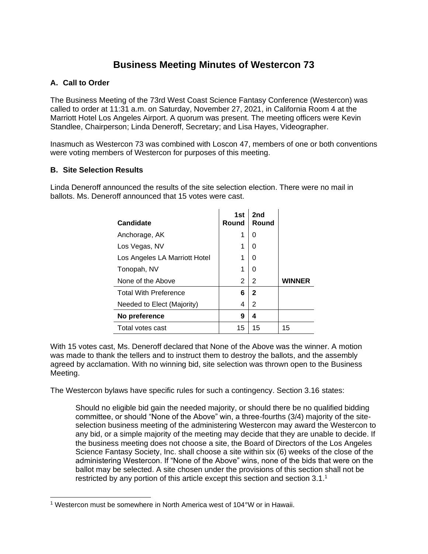## **Business Meeting Minutes of Westercon 73**

## **A. Call to Order**

The Business Meeting of the 73rd West Coast Science Fantasy Conference (Westercon) was called to order at 11:31 a.m. on Saturday, November 27, 2021, in California Room 4 at the Marriott Hotel Los Angeles Airport. A quorum was present. The meeting officers were Kevin Standlee, Chairperson; Linda Deneroff, Secretary; and Lisa Hayes, Videographer.

Inasmuch as Westercon 73 was combined with Loscon 47, members of one or both conventions were voting members of Westercon for purposes of this meeting.

## **B. Site Selection Results**

Linda Deneroff announced the results of the site selection election. There were no mail in ballots. Ms. Deneroff announced that 15 votes were cast.

| <b>Candidate</b>              | 1st<br>Round | 2nd<br><b>Round</b> |    |
|-------------------------------|--------------|---------------------|----|
| Anchorage, AK                 | 1            | 0                   |    |
| Los Vegas, NV                 | 1            | 0                   |    |
| Los Angeles LA Marriott Hotel | 1            | 0                   |    |
| Tonopah, NV                   | 1            | 0                   |    |
| None of the Above             | 2            | 2                   |    |
| <b>Total With Preference</b>  | 6            | $\mathbf{2}$        |    |
| Needed to Elect (Majority)    | 4            | 2                   |    |
| No preference                 | 9            | 4                   |    |
| Total votes cast              | 15           | 15                  | 15 |

With 15 votes cast, Ms. Deneroff declared that None of the Above was the winner. A motion was made to thank the tellers and to instruct them to destroy the ballots, and the assembly agreed by acclamation. With no winning bid, site selection was thrown open to the Business Meeting.

The Westercon bylaws have specific rules for such a contingency. Section 3.16 states:

Should no eligible bid gain the needed majority, or should there be no qualified bidding committee, or should "None of the Above" win, a three-fourths (3/4) majority of the siteselection business meeting of the administering Westercon may award the Westercon to any bid, or a simple majority of the meeting may decide that they are unable to decide. If the business meeting does not choose a site, the Board of Directors of the Los Angeles Science Fantasy Society, Inc. shall choose a site within six (6) weeks of the close of the administering Westercon. If "None of the Above" wins, none of the bids that were on the ballot may be selected. A site chosen under the provisions of this section shall not be restricted by any portion of this article except this section and section  $3.1<sup>1</sup>$ 

<sup>1</sup> Westercon must be somewhere in North America west of 104°W or in Hawaii.